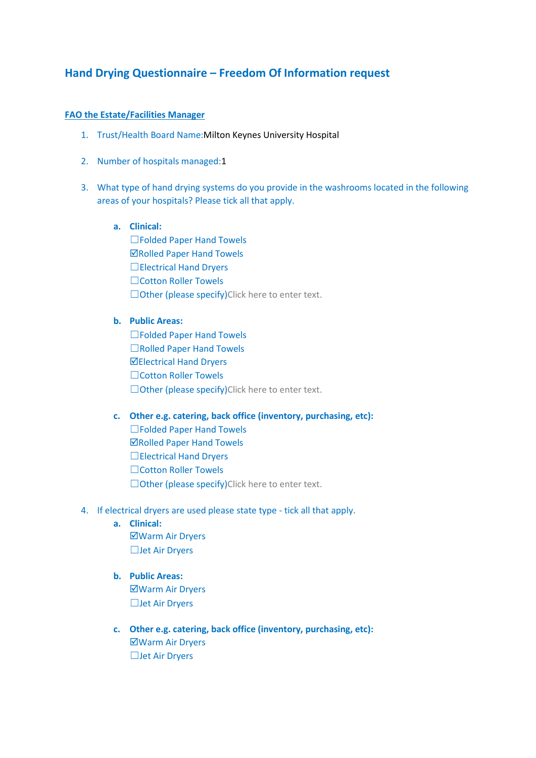# **Hand Drying Questionnaire – Freedom Of Information request**

### **FAO the Estate/Facilities Manager**

- 1. Trust/Health Board Name:Milton Keynes University Hospital
- 2. Number of hospitals managed:1
- 3. What type of hand drying systems do you provide in the washrooms located in the following areas of your hospitals? Please tick all that apply.

# **a. Clinical:**

☐Folded Paper Hand Towels **ØRolled Paper Hand Towels** □Electrical Hand Dryers ☐Cotton Roller Towels □Other (please specify)Click here to enter text.

## **b. Public Areas:**

☐Folded Paper Hand Towels ☐Rolled Paper Hand Towels Electrical Hand Dryers ☐Cotton Roller Towels □Other (please specify)Click here to enter text.

#### **c. Other e.g. catering, back office (inventory, purchasing, etc):**

☐Folded Paper Hand Towels  $⊓$ **Rolled Paper Hand Towels** ☐Electrical Hand Dryers ☐Cotton Roller Towels □Other (please specify)Click here to enter text.

- 4. If electrical dryers are used please state type tick all that apply.
	- **a. Clinical:** Warm Air Dryers ☐Jet Air Dryers
	- **b. Public Areas:** Warm Air Dryers ☐Jet Air Dryers
	- **c. Other e.g. catering, back office (inventory, purchasing, etc):** Warm Air Dryers ☐Jet Air Dryers